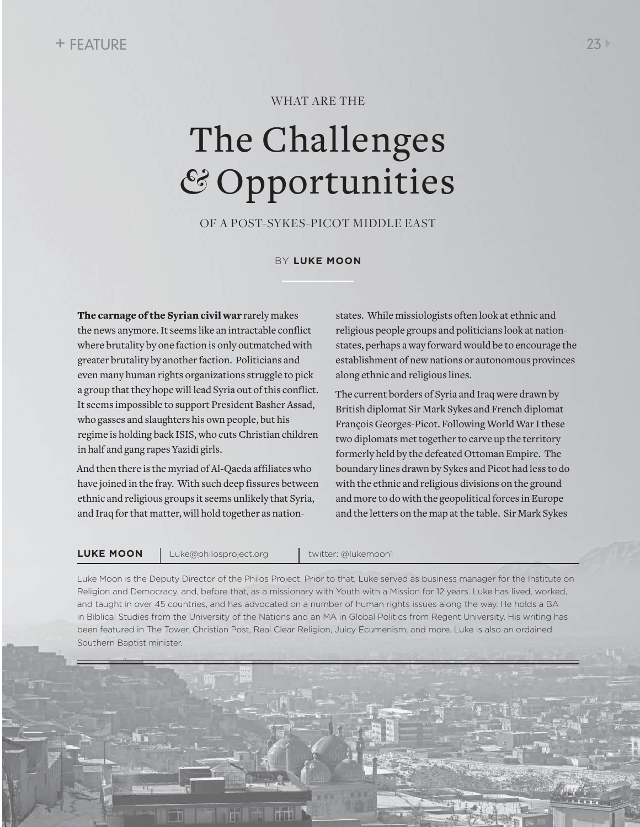### WHAT ARE THE

# The Challenges *&* Opportunities

OF A POST-SYKES -PICOT MIDDLE EAST

BY **LUKE MOON**

The carnage of the Syrian civil war rarely makes the news anymore. It seems like an intractable conflict where brutality by one faction is only outmatched with greater brutality by another faction. Politicians and even many human rights organizations struggle to pick a group that they hope will lead Syria out of this conflict. It seems impossible to support President Basher Assad, who gasses and slaughters his own people, but his regime is holding back ISIS, who cuts Christian children in half and gang rapes Yazidi girls.

And then there is the myriad of Al-Qaeda affiliates who have joined in the fray. With such deep fissures between ethnic and religious groups it seems unlikely that Syria, and Iraq for that matter, will hold together as nationstates. While missiologists often look at ethnic and religious people groups and politicians look at nationstates, perhaps a way forward would be to encourage the establishment of new nations or autonomous provinces along ethnic and religious lines.

The current borders of Syria and Iraq were drawn by British diplomat Sir Mark Sykes and French diplomat François Georges-Picot. Following World War I these two diplomats met together to carve up the territory formerly held by the defeated Ottoman Empire. The boundary lines drawn by Sykes and Picot had less to do with the ethnic and religious divisions on the ground and more to do with the geopolitical forces in Europe and the letters on the map at the table. Sir Mark Sykes

**LUKE MOON** Luke@philosproject.org | twitter: @lukemoon1

Luke Moon is the Deputy Director of the Philos Project. Prior to that, Luke served as business manager for the Institute on Religion and Democracy, and, before that, as a missionary with Youth with a Mission for 12 years. Luke has lived, worked, and taught in over 45 countries, and has advocated on a number of human rights issues along the way. He holds a BA in Biblical Studies from the University of the Nations and an MA in Global Politics from Regent University. His writing has been featured in The Tower, Christian Post, Real Clear Religion, Juicy Ecumenism, and more. Luke is also an ordained Southern Baptist minister.

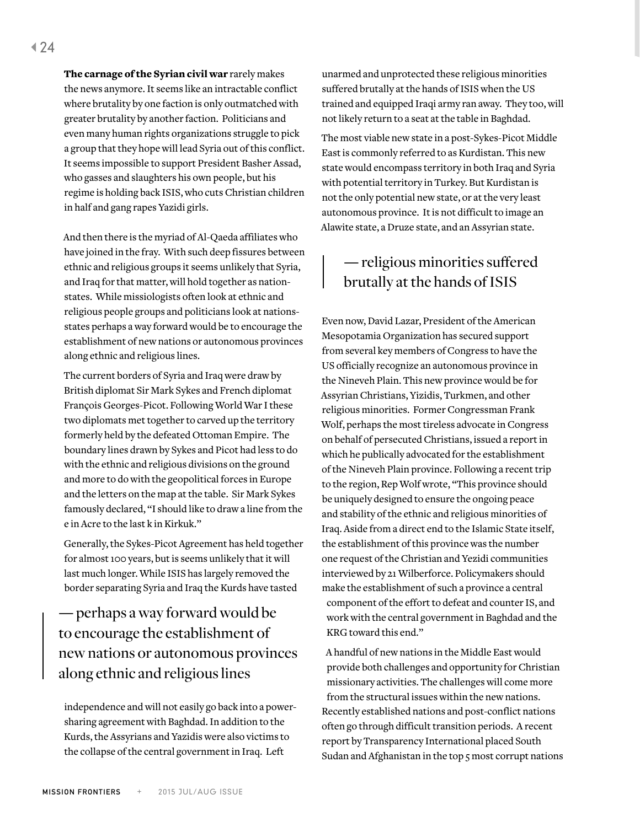The carnage of the Syrian civil war rarely makes the news anymore. It seems like an intractable conflict where brutality by one faction is only outmatched with greater brutality by another faction. Politicians and even many human rights organizations struggle to pick a group that they hope will lead Syria out of this conflict. It seems impossible to support President Basher Assad, who gasses and slaughters his own people, but his regime is holding back ISIS, who cuts Christian children in half and gang rapes Yazidi girls.

And then there is the myriad of Al-Qaeda affiliates who have joined in the fray. With such deep fissures between ethnic and religious groups it seems unlikely that Syria, and Iraq for that matter, will hold together as nationstates. While missiologists often look at ethnic and religious people groups and politicians look at nationsstates perhaps a way forward would be to encourage the establishment of new nations or autonomous provinces along ethnic and religious lines.

The current borders of Syria and Iraq were draw by British diplomat Sir Mark Sykes and French diplomat François Georges-Picot. Following World War I these two diplomats met together to carved up the territory formerly held by the defeated Ottoman Empire. The boundary lines drawn by Sykes and Picot had less to do with the ethnic and religious divisions on the ground and more to do with the geopolitical forces in Europe and the letters on the map at the table. Sir Mark Sykes famously declared, "I should like to draw a line from the e in Acre to the last k in Kirkuk."

Generally, the Sykes-Picot Agreement has held together for almost 100 years, but is seems unlikely that it will last much longer. While ISIS has largely removed the border separating Syria and Iraq the Kurds have tasted

## **—** perhaps a way forward would be to encourage the establishment of new nations or autonomous provinces along ethnic and religious lines

independence and will not easily go back into a powersharing agreement with Baghdad. In addition to the Kurds, the Assyrians and Yazidis were also victims to the collapse of the central government in Iraq. Left

unarmed and unprotected these religious minorities suffered brutally at the hands of ISIS when the US trained and equipped Iraqi army ran away. They too, will not likely return to a seat at the table in Baghdad.

The most viable new state in a post-Sykes-Picot Middle East is commonly referred to as Kurdistan. This new state would encompass territory in both Iraq and Syria with potential territory in Turkey. But Kurdistan is not the only potential new state, or at the very least autonomous province. It is not difficult to image an Alawite state, a Druze state, and an Assyrian state.

## **—** religious minorities suffered brutally at the hands of ISIS

Even now, David Lazar, President of the American Mesopotamia Organization has secured support from several key members of Congress to have the US officially recognize an autonomous province in the Nineveh Plain. This new province would be for Assyrian Christians, Yizidis, Turkmen, and other religious minorities. Former Congressman Frank Wolf, perhaps the most tireless advocate in Congress on behalf of persecuted Christians, issued a report in which he publically advocated for the establishment of the Nineveh Plain province. Following a recent trip to the region, Rep Wolf wrote, "This province should be uniquely designed to ensure the ongoing peace and stability of the ethnic and religious minorities of Iraq. Aside from a direct end to the Islamic State itself, the establishment of this province was the number one request of the Christian and Yezidi communities interviewed by 21 Wilberforce. Policymakers should make the establishment of such a province a central component of the effort to defeat and counter IS, and work with the central government in Baghdad and the KRG toward this end."

A handful of new nations in the Middle East would provide both challenges and opportunity for Christian missionary activities. The challenges will come more from the structural issues within the new nations. Recently established nations and post-conflict nations often go through difficult transition periods. A recent report by Transparency International placed South Sudan and Afghanistan in the top 5 most corrupt nations